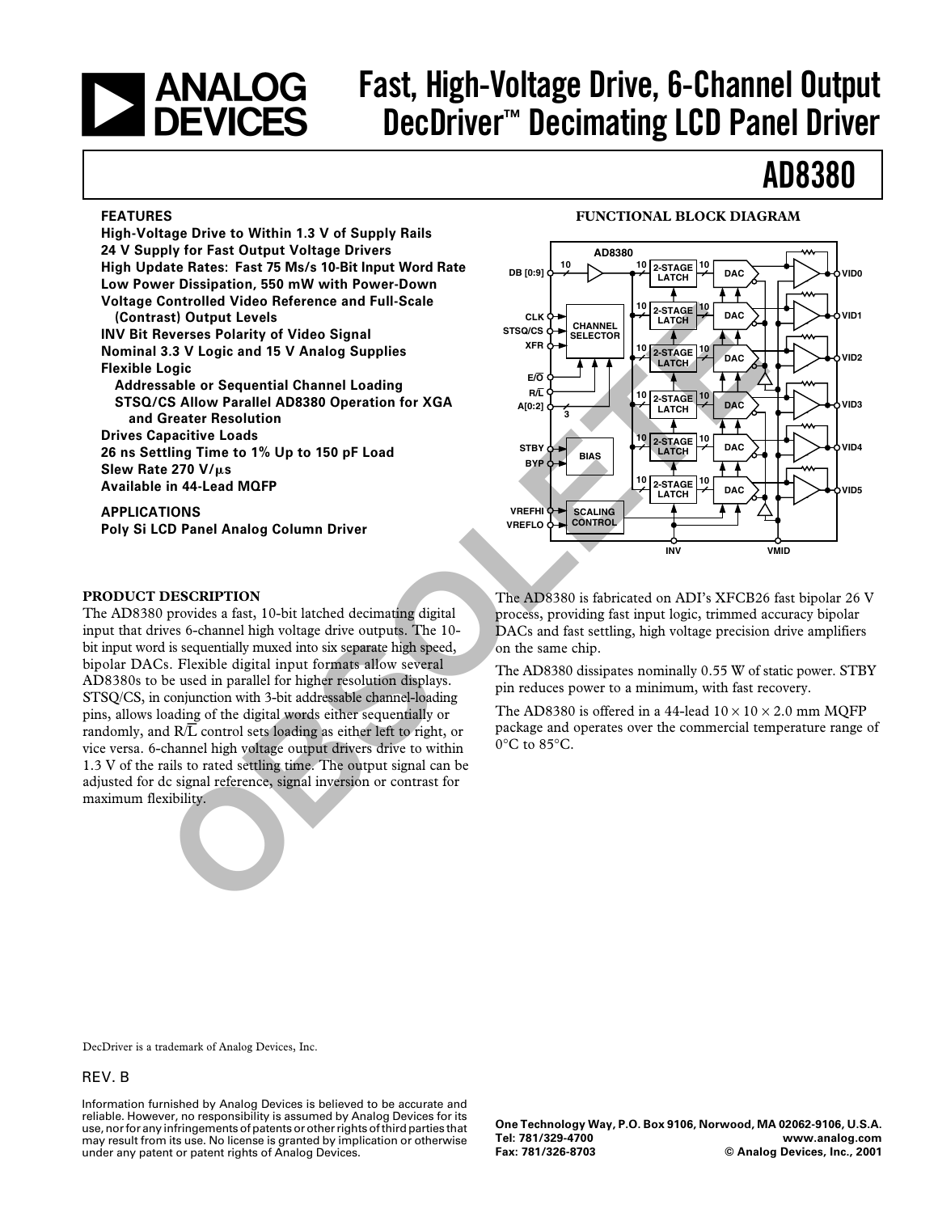# **EXAMALOG**<br>DEVICES

## **Fast, High-Voltage Drive, 6-Channel Output DecDriver™ Decimating LCD Panel Driver**

### **AD8380**

#### **FEATURES**

**High-Voltage Drive to Within 1.3 V of Supply Rails 24 V Supply for Fast Output Voltage Drivers High Update Rates: Fast 75 Ms/s 10-Bit Input Word Rate Low Power Dissipation, 550 mW with Power-Down Voltage Controlled Video Reference and Full-Scale (Contrast) Output Levels INV Bit Reverses Polarity of Video Signal Nominal 3.3 V Logic and 15 V Analog Supplies Flexible Logic Addressable or Sequential Channel Loading STSQ/CS Allow Parallel AD8380 Operation for XGA and Greater Resolution Drives Capacitive Loads 26 ns Settling Time to 1% Up to 150 pF Load Slew Rate 270 V/s Available in 44-Lead MQFP APPLICATIONS**

**Poly Si LCD Panel Analog Column Driver**

#### **PRODUCT DESCRIPTION**

The AD8380 provides a fast, 10-bit latched decimating digital input that drives 6-channel high voltage drive outputs. The 10 bit input word is sequentially muxed into six separate high speed, bipolar DACs. Flexible digital input formats allow several AD8380s to be used in parallel for higher resolution displays. STSQ/CS, in conjunction with 3-bit addressable channel-loading pins, allows loading of the digital words either sequentially or randomly, and R/*L* control sets loading as either left to right, or vice versa. 6-channel high voltage output drivers drive to within 1.3 V of the rails to rated settling time. The output signal can be adjusted for dc signal reference, signal inversion or contrast for maximum flexibility.

#### **FUNCTIONAL BLOCK DIAGRAM**



The AD8380 is fabricated on ADI's XFCB26 fast bipolar 26 V process, providing fast input logic, trimmed accuracy bipolar DACs and fast settling, high voltage precision drive amplifiers on the same chip.

The AD8380 dissipates nominally 0.55 W of static power. STBY pin reduces power to a minimum, with fast recovery.

The AD8380 is offered in a 44-lead  $10 \times 10 \times 2.0$  mm MQFP package and operates over the commercial temperature range of  $0^{\circ}$ C to  $85^{\circ}$ C.

DecDriver is a trademark of Analog Devices, Inc.

#### REV. B

Information furnished by Analog Devices is believed to be accurate and reliable. However, no responsibility is assumed by Analog Devices for its use, nor for any infringements of patents or other rights of third parties that may result from its use. No license is granted by implication or otherwise under any patent or patent rights of Analog Devices.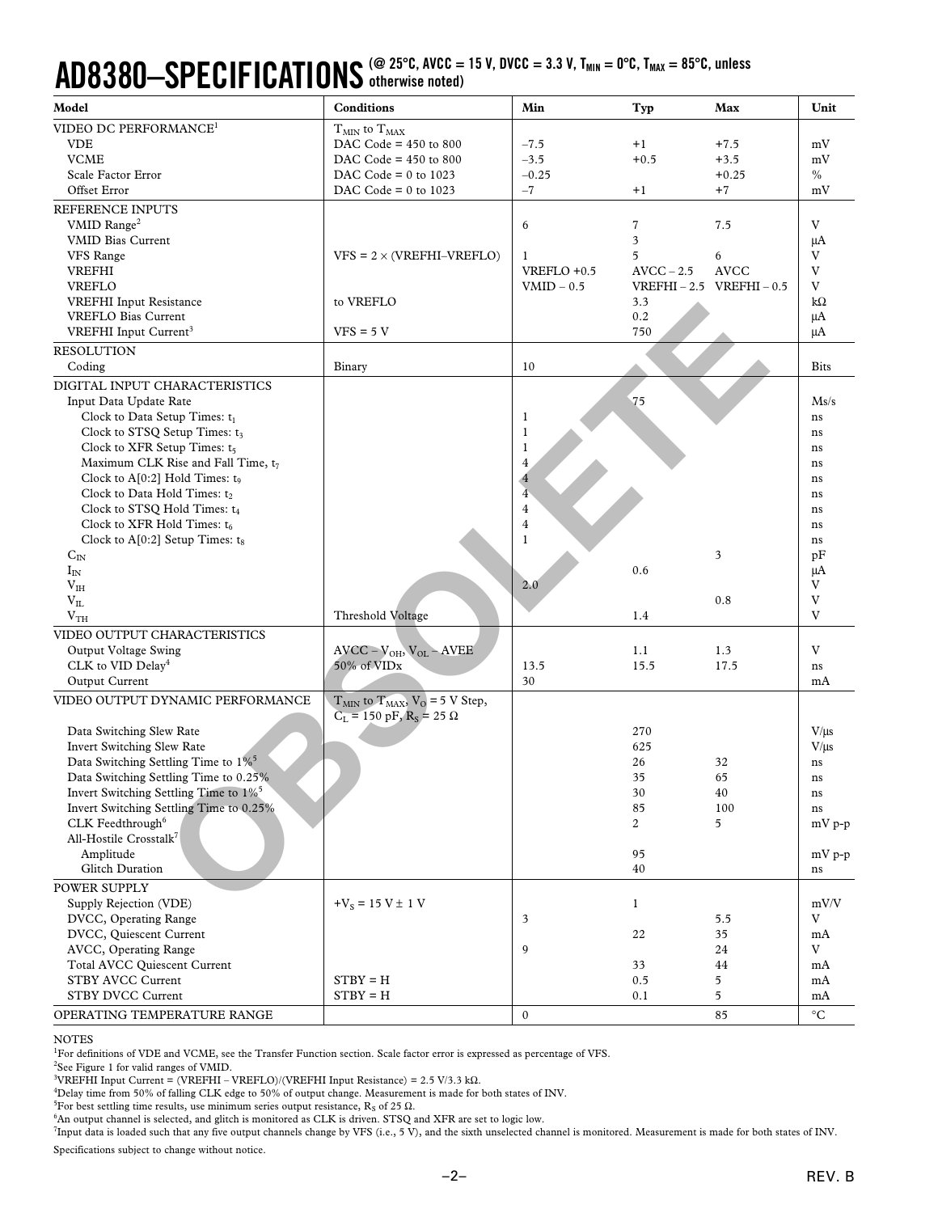### AD8380—SPECIFICATIONS (@ 25°C, AVCC = 15 V, DVCC = 3.3 V, T<sub>MIN</sub> = 0°C, T<sub>MAX</sub> = 85°C, unless **otherwise noted)**

| Model                                             | <b>Conditions</b>                          | Min              | Typ            | Max                         | Unit            |
|---------------------------------------------------|--------------------------------------------|------------------|----------------|-----------------------------|-----------------|
| VIDEO DC PERFORMANCE <sup>1</sup>                 | $T_{MIN}$ to $T_{MAX}$                     |                  |                |                             |                 |
| <b>VDE</b>                                        | DAC Code = $450$ to $800$                  | $-7.5$           | $+1$           | $+7.5$                      | mV              |
| <b>VCME</b>                                       | DAC Code = $450$ to $800$                  | $-3.5$           | $+0.5$         | $+3.5$                      | mV              |
| Scale Factor Error                                | DAC Code = $0$ to 1023                     | $-0.25$          |                | $+0.25$                     | $\%$            |
| Offset Error                                      | DAC Code = $0$ to 1023                     | $-7$             | $+1$           | $+7$                        | mV              |
| REFERENCE INPUTS                                  |                                            |                  |                |                             |                 |
| VMID Range <sup>2</sup>                           |                                            | 6                | 7              | 7.5                         | V               |
| <b>VMID Bias Current</b>                          |                                            |                  | 3              |                             | μA              |
| VFS Range                                         | $VFS = 2 \times (VREFHI-VREFLO)$           | $\mathbf{1}$     | 5              | 6                           | V               |
| <b>VREFHI</b>                                     |                                            | VREFLO +0.5      | $AVCC - 2.5$   | <b>AVCC</b>                 | V               |
| <b>VREFLO</b>                                     |                                            | $VMID - 0.5$     |                | VREFHI $-2.5$ VREFHI $-0.5$ | V               |
| <b>VREFHI</b> Input Resistance                    | to VREFLO                                  |                  | 3.3            |                             | $k\Omega$       |
| <b>VREFLO Bias Current</b>                        |                                            |                  | 0.2            |                             | $\mu A$         |
| VREFHI Input Current <sup>3</sup>                 | $VFS = 5 V$                                |                  | 750            |                             | $\mu A$         |
| <b>RESOLUTION</b>                                 |                                            |                  |                |                             |                 |
| Coding                                            | Binary                                     | 10               |                |                             | <b>Bits</b>     |
| DIGITAL INPUT CHARACTERISTICS                     |                                            |                  |                |                             |                 |
| Input Data Update Rate                            |                                            |                  | 75             |                             | Ms/s            |
| Clock to Data Setup Times: $t_1$                  |                                            | $\mathbf{1}$     |                |                             | ns              |
| Clock to STSQ Setup Times: t3                     |                                            | $\mathbf{1}$     |                |                             | ns              |
| Clock to XFR Setup Times: $t_5$                   |                                            | $\mathbf{1}$     |                |                             | ns              |
| Maximum CLK Rise and Fall Time, t <sub>7</sub>    |                                            | 4                |                |                             | ns              |
| Clock to $A[0:2]$ Hold Times: $t_9$               |                                            | $\overline{4}$   |                |                             | ns              |
| Clock to Data Hold Times: $t_2$                   |                                            | $\overline{4}$   |                |                             | ns              |
| Clock to STSQ Hold Times: t <sub>4</sub>          |                                            | 4                |                |                             | ns              |
| Clock to XFR Hold Times: t6                       |                                            | 4                |                |                             | ns              |
| Clock to A[0:2] Setup Times: $t_8$                |                                            | 1                |                |                             | ns              |
| $C_{IN}$                                          |                                            |                  |                | 3                           | pF              |
| $I_{IN}$                                          |                                            |                  | 0.6            |                             | μA              |
| V <sub>IH</sub>                                   |                                            | 2.0              |                |                             | V               |
| $\rm V_{II}$                                      |                                            |                  |                | 0.8                         | V               |
| V <sub>TH</sub>                                   | Threshold Voltage                          |                  | 1.4            |                             | V               |
| VIDEO OUTPUT CHARACTERISTICS                      |                                            |                  |                |                             |                 |
| Output Voltage Swing                              | $AVCC - V_{OH}$ , $V_{OL} - AVEE$          |                  | 1.1            | 1.3                         | V               |
| CLK to VID Delay <sup>4</sup>                     | 50% of VIDx                                | 13.5             | 15.5           | 17.5                        | ns              |
| Output Current                                    |                                            | 30               |                |                             | mA              |
| VIDEO OUTPUT DYNAMIC PERFORMANCE                  | $T_{MIN}$ to $T_{MAX}$ , $V_0 = 5$ V Step, |                  |                |                             |                 |
|                                                   | $C_L = 150 \text{ pF}, R_S = 25 \Omega$    |                  |                |                             |                 |
| Data Switching Slew Rate                          |                                            |                  | 270            |                             | $V/\mu s$       |
| Invert Switching Slew Rate                        |                                            |                  | 625            |                             | $V/\mu s$       |
| Data Switching Settling Time to 1% <sup>5</sup>   |                                            |                  | 26             | 32                          | $\, \! ns$      |
| Data Switching Settling Time to 0.25%             |                                            |                  | 35             | 65                          | $\rm ns$        |
| Invert Switching Settling Time to 1% <sup>5</sup> |                                            |                  | 30             | 40                          | ns              |
| Invert Switching Settling Time to 0.25%           |                                            |                  | 85             | 100                         | ns              |
| CLK Feedthrough <sup>6</sup>                      |                                            |                  | $\overline{2}$ | 5                           | $mV$ p-p        |
| All-Hostile Crosstalk <sup>7</sup>                |                                            |                  |                |                             |                 |
| Amplitude                                         |                                            |                  | 95             |                             | $mV$ p-p        |
| Glitch Duration                                   |                                            |                  | 40             |                             | ns              |
| POWER SUPPLY                                      |                                            |                  |                |                             |                 |
| Supply Rejection (VDE)                            | $+V_s = 15 V \pm 1 V$                      |                  | $\mathbf{1}$   |                             | mV/V            |
| DVCC, Operating Range                             |                                            | 3                |                | 5.5                         | V               |
| DVCC, Quiescent Current                           |                                            |                  | 22             | 35                          | mA              |
| AVCC, Operating Range                             |                                            | 9                |                | 24                          | V               |
| Total AVCC Quiescent Current                      |                                            |                  | 33             | 44                          | mA              |
| <b>STBY AVCC Current</b>                          | $STBY = H$                                 |                  | 0.5            | 5                           | mA              |
| <b>STBY DVCC Current</b>                          | $STBY = H$                                 |                  | 0.1            | 5                           | mA              |
| OPERATING TEMPERATURE RANGE                       |                                            | $\boldsymbol{0}$ |                | 85                          | $\rm ^{\circ}C$ |

NOTES

<sup>1</sup>For definitions of VDE and VCME, see the Transfer Function section. Scale factor error is expressed as percentage of VFS.

2 See Figure 1 for valid ranges of VMID.

<sup>3</sup>VREFHI Input Current = (VREFHI – VREFLO)/(VREFHI Input Resistance) = 2.5 V/3.3 kΩ.

4 Delay time from 50% of falling CLK edge to 50% of output change. Measurement is made for both states of INV.

<sup>5</sup>For best settling time results, use minimum series output resistance, R<sub>S</sub> of 25 Ω.

7 Input data is loaded such that any five output channels change by VFS (i.e., 5 V), and the sixth unselected channel is monitored. Measurement is made for both states of INV. Specifications subject to change without notice.

<sup>6</sup> An output channel is selected, and glitch is monitored as CLK is driven. STSQ and XFR are set to logic low.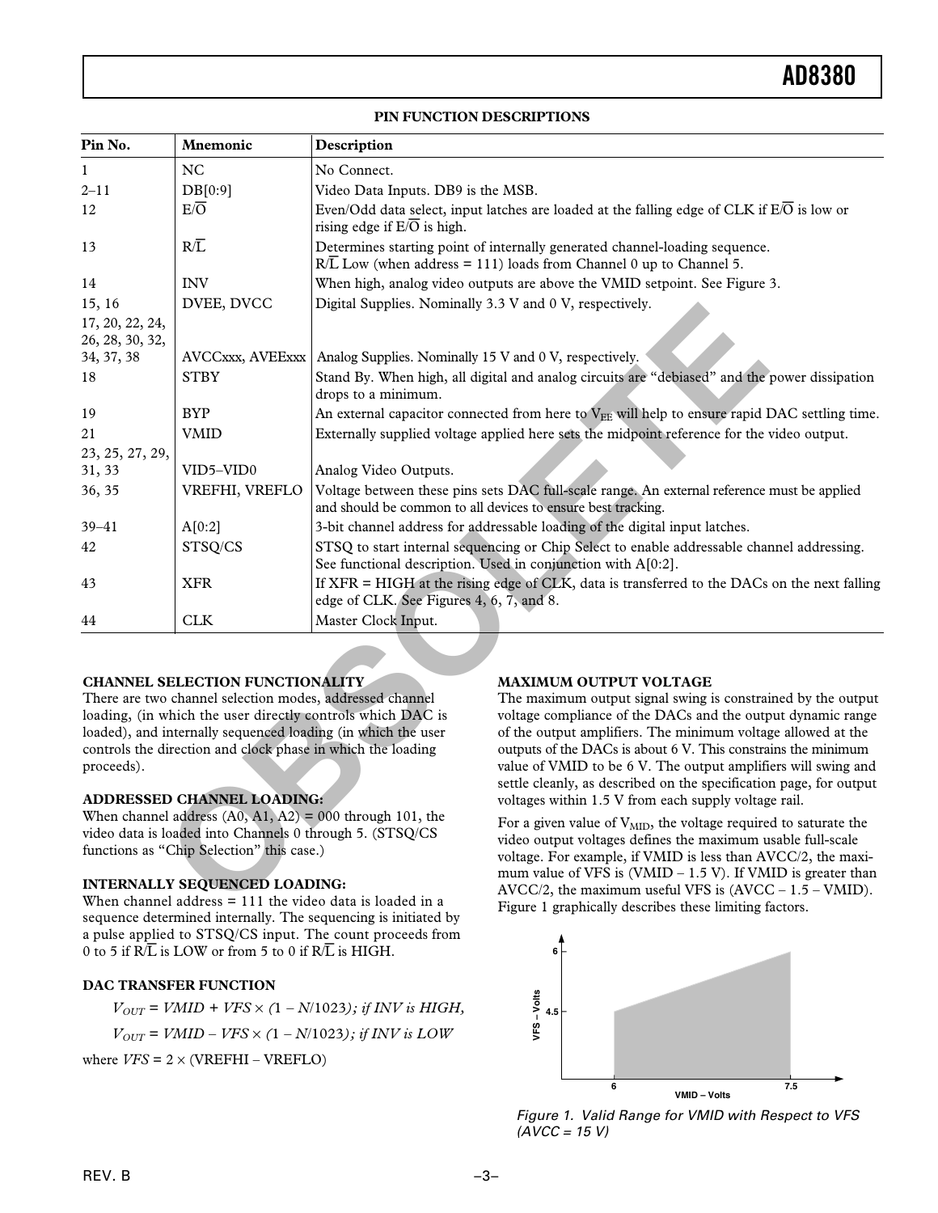#### **PIN FUNCTION DESCRIPTIONS**

| Pin No.                                                                                                                                                                                                                                                                   | <b>Mnemonic</b>                                                                                                                                                                                 | Description                                                                                                                                                    |                                                                                                                                                                                                                                                                                                                                                                                                                                                                                              |  |
|---------------------------------------------------------------------------------------------------------------------------------------------------------------------------------------------------------------------------------------------------------------------------|-------------------------------------------------------------------------------------------------------------------------------------------------------------------------------------------------|----------------------------------------------------------------------------------------------------------------------------------------------------------------|----------------------------------------------------------------------------------------------------------------------------------------------------------------------------------------------------------------------------------------------------------------------------------------------------------------------------------------------------------------------------------------------------------------------------------------------------------------------------------------------|--|
| $\mathbf{1}$                                                                                                                                                                                                                                                              | NC                                                                                                                                                                                              | No Connect.                                                                                                                                                    |                                                                                                                                                                                                                                                                                                                                                                                                                                                                                              |  |
| $2 - 11$                                                                                                                                                                                                                                                                  | DB[0:9]                                                                                                                                                                                         | Video Data Inputs. DB9 is the MSB.                                                                                                                             |                                                                                                                                                                                                                                                                                                                                                                                                                                                                                              |  |
| 12                                                                                                                                                                                                                                                                        | $E/\overline{O}$                                                                                                                                                                                | Even/Odd data select, input latches are loaded at the falling edge of CLK if $E/\overline{O}$ is low or<br>rising edge if $E/\overline{O}$ is high.            |                                                                                                                                                                                                                                                                                                                                                                                                                                                                                              |  |
| 13                                                                                                                                                                                                                                                                        | $R/\overline{L}$                                                                                                                                                                                | Determines starting point of internally generated channel-loading sequence.<br>$R/\overline{L}$ Low (when address = 111) loads from Channel 0 up to Channel 5. |                                                                                                                                                                                                                                                                                                                                                                                                                                                                                              |  |
| 14                                                                                                                                                                                                                                                                        | <b>INV</b>                                                                                                                                                                                      |                                                                                                                                                                | When high, analog video outputs are above the VMID setpoint. See Figure 3.                                                                                                                                                                                                                                                                                                                                                                                                                   |  |
| 15, 16                                                                                                                                                                                                                                                                    | DVEE, DVCC                                                                                                                                                                                      | Digital Supplies. Nominally 3.3 V and 0 V, respectively.                                                                                                       |                                                                                                                                                                                                                                                                                                                                                                                                                                                                                              |  |
| 17, 20, 22, 24,<br>26, 28, 30, 32,                                                                                                                                                                                                                                        |                                                                                                                                                                                                 |                                                                                                                                                                |                                                                                                                                                                                                                                                                                                                                                                                                                                                                                              |  |
| 34, 37, 38                                                                                                                                                                                                                                                                | <b>AVCCxxx, AVEExxx</b>                                                                                                                                                                         | Analog Supplies. Nominally 15 V and 0 V, respectively.                                                                                                         |                                                                                                                                                                                                                                                                                                                                                                                                                                                                                              |  |
| 18                                                                                                                                                                                                                                                                        | <b>STBY</b>                                                                                                                                                                                     | drops to a minimum.                                                                                                                                            | Stand By. When high, all digital and analog circuits are "debiased" and the power dissipation                                                                                                                                                                                                                                                                                                                                                                                                |  |
| 19                                                                                                                                                                                                                                                                        | BYP                                                                                                                                                                                             | An external capacitor connected from here to V <sub>EE</sub> will help to ensure rapid DAC settling time.                                                      |                                                                                                                                                                                                                                                                                                                                                                                                                                                                                              |  |
| 21                                                                                                                                                                                                                                                                        | <b>VMID</b>                                                                                                                                                                                     | Externally supplied voltage applied here sets the midpoint reference for the video output.                                                                     |                                                                                                                                                                                                                                                                                                                                                                                                                                                                                              |  |
| 23, 25, 27, 29,                                                                                                                                                                                                                                                           |                                                                                                                                                                                                 |                                                                                                                                                                |                                                                                                                                                                                                                                                                                                                                                                                                                                                                                              |  |
| 31, 33                                                                                                                                                                                                                                                                    | VID5-VID0                                                                                                                                                                                       | Analog Video Outputs.                                                                                                                                          |                                                                                                                                                                                                                                                                                                                                                                                                                                                                                              |  |
| 36, 35                                                                                                                                                                                                                                                                    | VREFHI, VREFLO                                                                                                                                                                                  | Voltage between these pins sets DAC full-scale range. An external reference must be applied<br>and should be common to all devices to ensure best tracking.    |                                                                                                                                                                                                                                                                                                                                                                                                                                                                                              |  |
| $39 - 41$                                                                                                                                                                                                                                                                 | A[0:2]                                                                                                                                                                                          | 3-bit channel address for addressable loading of the digital input latches.                                                                                    |                                                                                                                                                                                                                                                                                                                                                                                                                                                                                              |  |
| 42                                                                                                                                                                                                                                                                        | STSQ/CS                                                                                                                                                                                         | STSQ to start internal sequencing or Chip Select to enable addressable channel addressing.<br>See functional description. Used in conjunction with A[0:2].     |                                                                                                                                                                                                                                                                                                                                                                                                                                                                                              |  |
| 43                                                                                                                                                                                                                                                                        | <b>XFR</b>                                                                                                                                                                                      | If XFR = HIGH at the rising edge of CLK, data is transferred to the DACs on the next falling<br>edge of CLK. See Figures 4, 6, 7, and 8.                       |                                                                                                                                                                                                                                                                                                                                                                                                                                                                                              |  |
| 44                                                                                                                                                                                                                                                                        | <b>CLK</b>                                                                                                                                                                                      | Master Clock Input.                                                                                                                                            |                                                                                                                                                                                                                                                                                                                                                                                                                                                                                              |  |
|                                                                                                                                                                                                                                                                           |                                                                                                                                                                                                 |                                                                                                                                                                |                                                                                                                                                                                                                                                                                                                                                                                                                                                                                              |  |
| proceeds).                                                                                                                                                                                                                                                                | <b>CHANNEL SELECTION FUNCTIONALITY</b><br>There are two channel selection modes, addressed channel<br>controls the direction and clock phase in which the loading<br>ADDRESSED CHANNEL LOADING: | loading, (in which the user directly controls which DAC is<br>loaded), and internally sequenced loading (in which the user                                     | <b>MAXIMUM OUTPUT VOLTAGE</b><br>The maximum output signal swing is constrained by the output<br>voltage compliance of the DACs and the output dynamic range<br>of the output amplifiers. The minimum voltage allowed at the<br>outputs of the DACs is about 6 V. This constrains the minimum<br>value of VMID to be 6 V. The output amplifiers will swing and<br>settle cleanly, as described on the specification page, for output<br>voltages within 1.5 V from each supply voltage rail. |  |
| When channel address $(A0, A1, A2) = 000$ through 101, the<br>video data is loaded into Channels 0 through 5. (STSQ/CS<br>functions as "Chip Selection" this case.)<br><b>INTERNALLY SEQUENCED LOADING:</b><br>When channel address $= 111$ the video data is loaded in a |                                                                                                                                                                                                 |                                                                                                                                                                | For a given value of $V_{\text{MID}}$ , the voltage required to saturate the<br>video output voltages defines the maximum usable full-scale<br>voltage. For example, if VMID is less than AVCC/2, the maxi-<br>mum value of VFS is $(VMID - 1.5 V)$ . If VMID is greater than<br>$\text{AVCC}/2$ , the maximum useful VFS is $(\text{AVCC} - 1.5 - \text{VMD})$ .<br>Figure 1 graphically describes these limiting factors                                                                   |  |

#### **CHANNEL SELECTION FUNCTIONALITY**

#### **ADDRESSED CHANNEL LOADING:**

#### **INTERNALLY SEQUENCED LOADING:**

When channel address = 111 the video data is loaded in a sequence determined internally. The sequencing is initiated by a pulse applied to STSQ/CS input. The count proceeds from 0 to 5 if R/*L* is LOW or from 5 to 0 if R/*L* is HIGH.

#### **DAC TRANSFER FUNCTION**

 $V_{OUT}$  = *VMID* + *VFS* × (1 – *N*/1023*); if INV is HIGH,* 

 $V_{OUT}$  = *VMID* – *VFS*  $\times$  (1 – *N*/1023*)*; *if INV is LOW* 

where  $VFS = 2 \times (VREFHI - VREFLO)$ 

#### **MAXIMUM OUTPUT VOLTAGE**

For a given value of  $V_{\text{MID}}$ , the voltage required to saturate the video output voltages defines the maximum usable full-scale voltage. For example, if VMID is less than AVCC/2, the maximum value of VFS is  $(VMID - 1.5 V)$ . If VMID is greater than AVCC/2, the maximum useful VFS is  $(AVCC - 1.5 - VMID)$ . Figure 1 graphically describes these limiting factors.



Figure 1. Valid Range for VMID with Respect to VFS  $(AVCC = 15 V)$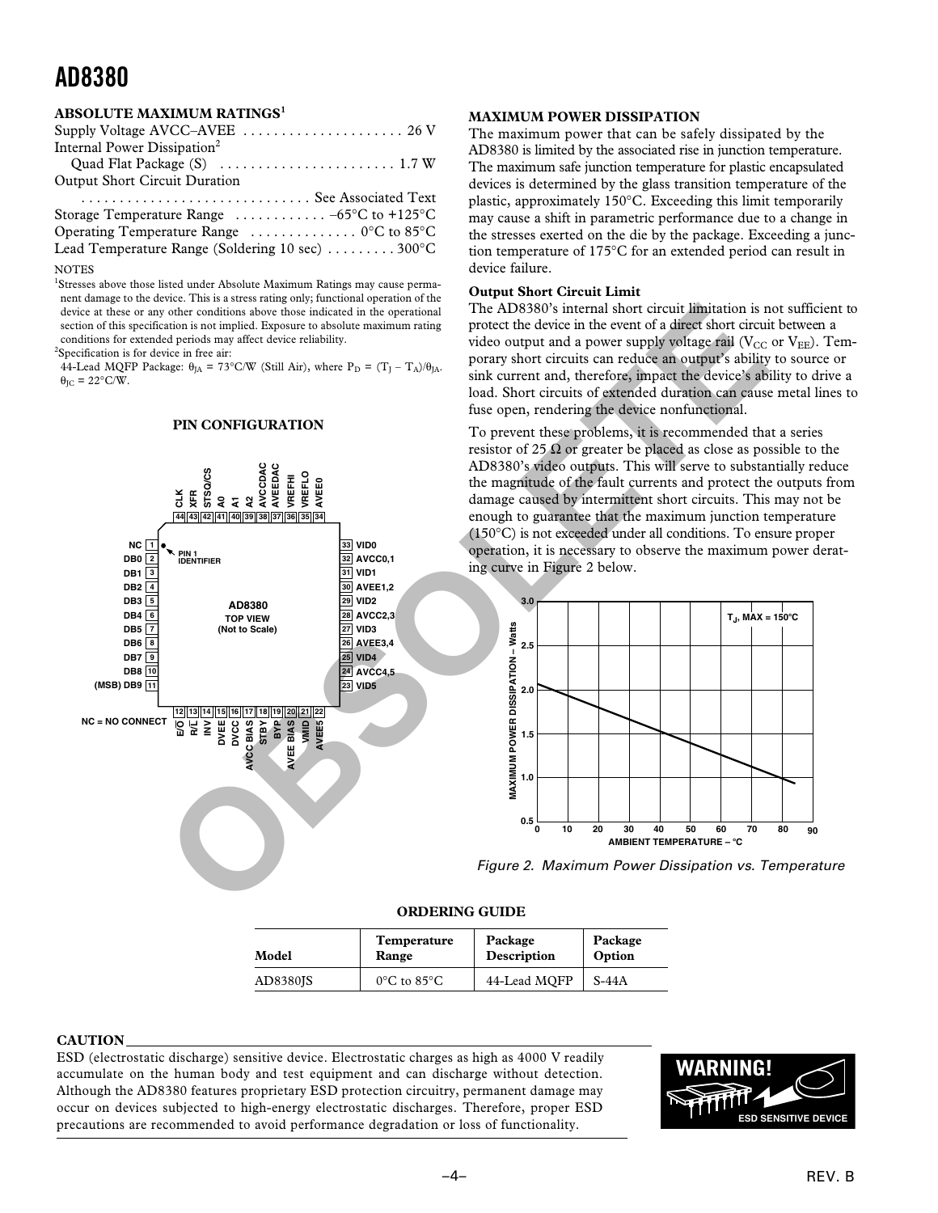#### **ABSOLUTE MAXIMUM RATINGS<sup>1</sup>**

| Internal Power Dissipation <sup>2</sup>                                  |  |
|--------------------------------------------------------------------------|--|
|                                                                          |  |
| <b>Output Short Circuit Duration</b>                                     |  |
|                                                                          |  |
| Storage Temperature Range $\ldots \ldots \ldots \ldots -65$ °C to +125°C |  |
| Operating Temperature Range  0°C to 85°C                                 |  |

Lead Temperature Range (Soldering 10 sec) . . . . . . . . . 300°C

#### **NOTES**

<sup>1</sup>Stresses above those listed under Absolute Maximum Ratings may cause permanent damage to the device. This is a stress rating only; functional operation of the device at these or any other conditions above those indicated in the operational section of this specification is not implied. Exposure to absolute maximum rating conditions for extended periods may affect device reliability.

2 Specification is for device in free air:

44-Lead MQFP Package:  $\theta_{IA} = 73^{\circ}$ C/W (Still Air), where  $P_D = (T_I - T_A)/\theta_{IA}$ .  $\theta_{\text{IC}} = 22^{\circ} \text{C/W}.$ 

#### **PIN CONFIGURATION**



#### **MAXIMUM POWER DISSIPATION**

The maximum power that can be safely dissipated by the AD8380 is limited by the associated rise in junction temperature. The maximum safe junction temperature for plastic encapsulated devices is determined by the glass transition temperature of the plastic, approximately 150°C. Exceeding this limit temporarily may cause a shift in parametric performance due to a change in the stresses exerted on the die by the package. Exceeding a junction temperature of 175°C for an extended period can result in device failure.

#### **Output Short Circuit Limit**

The AD8380's internal short circuit limitation is not sufficient to protect the device in the event of a direct short circuit between a video output and a power supply voltage rail ( $V_{CC}$  or  $V_{EE}$ ). Temporary short circuits can reduce an output's ability to source or sink current and, therefore, impact the device's ability to drive a load. Short circuits of extended duration can cause metal lines to fuse open, rendering the device nonfunctional.

To prevent these problems, it is recommended that a series resistor of 25  $\Omega$  or greater be placed as close as possible to the AD8380's video outputs. This will serve to substantially reduce the magnitude of the fault currents and protect the outputs from damage caused by intermittent short circuits. This may not be enough to guarantee that the maximum junction temperature (150°C) is not exceeded under all conditions. To ensure proper operation, it is necessary to observe the maximum power derating curve in Figure 2 below.



Figure 2. Maximum Power Dissipation vs. Temperature

#### **ORDERING GUIDE**

| Model    | Temperature                      | Package      | Package |  |
|----------|----------------------------------|--------------|---------|--|
|          | Range                            | Description  | Option  |  |
| AD8380JS | $0^{\circ}$ C to 85 $^{\circ}$ C | 44-Lead MOFP | $S-44A$ |  |

#### **CAUTION**

ESD (electrostatic discharge) sensitive device. Electrostatic charges as high as 4000 V readily accumulate on the human body and test equipment and can discharge without detection. Although the AD8380 features proprietary ESD protection circuitry, permanent damage may occur on devices subjected to high-energy electrostatic discharges. Therefore, proper ESD precautions are recommended to avoid performance degradation or loss of functionality.

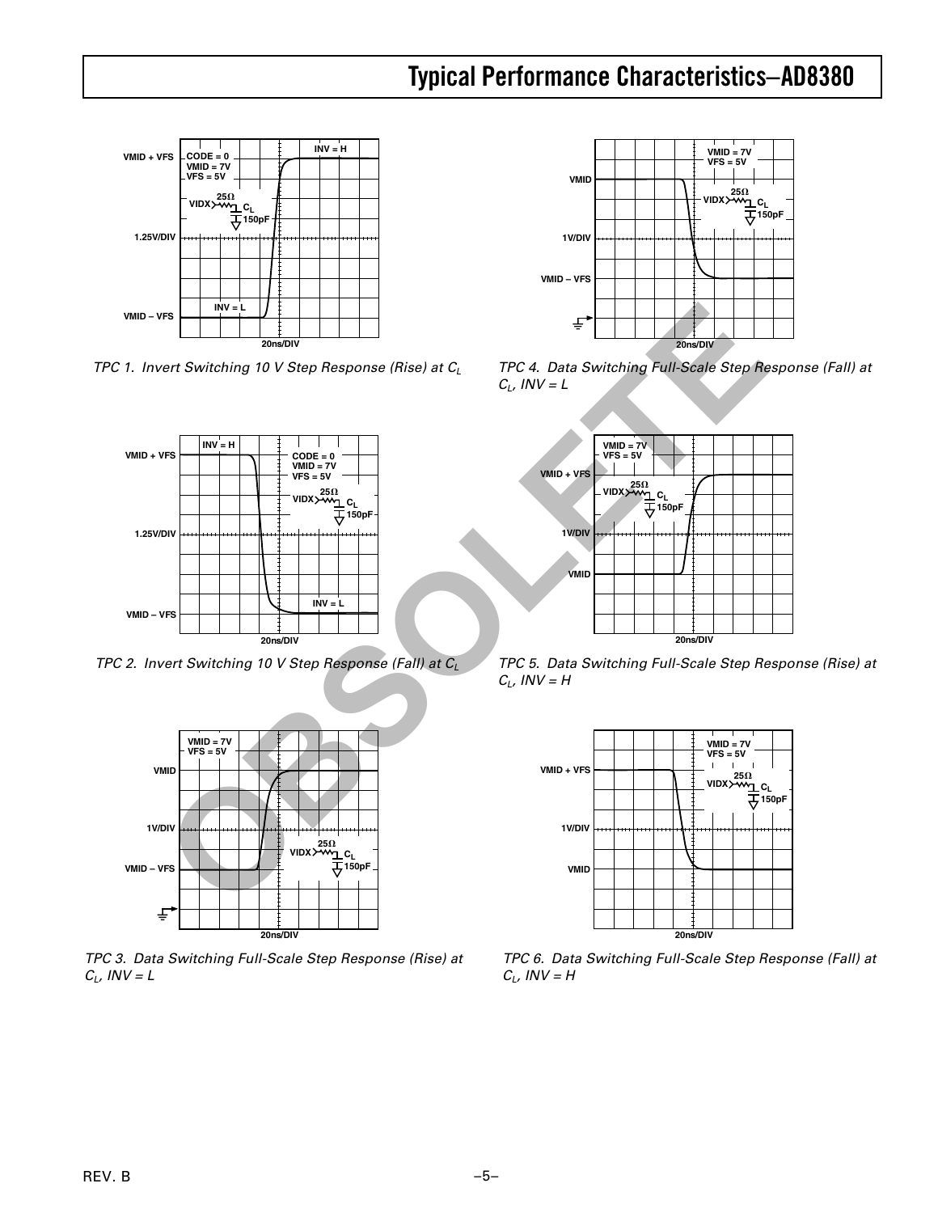### **Typical Performance Characteristics–AD8380**



TPC 1. Invert Switching 10 V Step Response (Rise) at  $C_L$ 



TPC 2. Invert Switching 10 V Step Response (Fall) at  $C_L$ 



TPC 3. Data Switching Full-Scale Step Response (Rise) at  $C_L$ ,  $INV = L$ 



TPC 4. Data Switching Full-Scale Step Response (Fall) at  $C_L$ ,  $INV = L$ 



TPC 5. Data Switching Full-Scale Step Response (Rise) at  $C_L$ , INV = H



TPC 6. Data Switching Full-Scale Step Response (Fall) at  $C_L$ , INV = H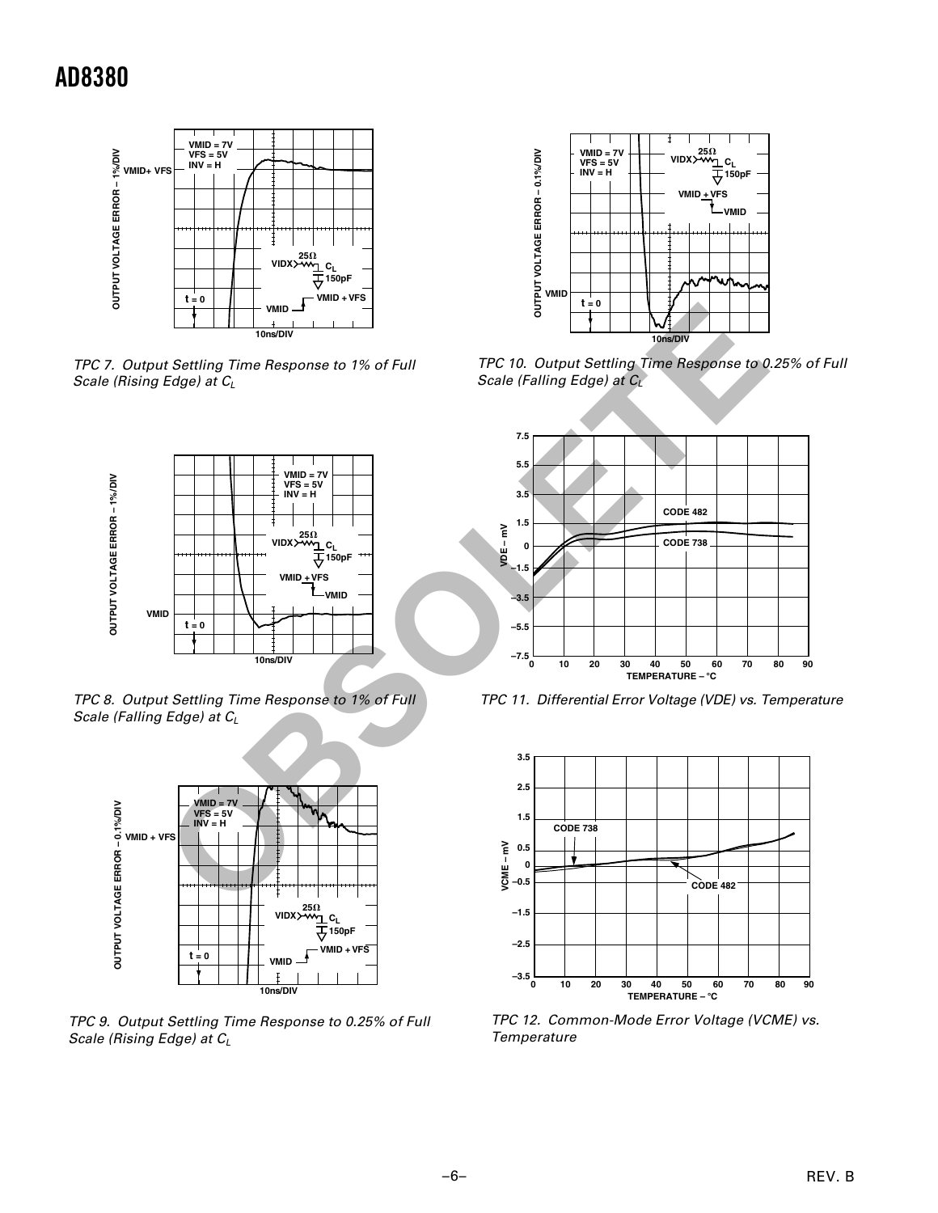

TPC 7. Output Settling Time Response to 1% of Full Scale (Rising Edge) at  $C_L$ 



TPC 8. Output Settling Time Response to 1% of Full Scale (Falling Edge) at  $C_L$ 



TPC 9. Output Settling Time Response to 0.25% of Full Scale (Rising Edge) at  $C_L$ 



TPC 10. Output Settling Time Response to 0.25% of Full Scale (Falling Edge) at  $C_{\ell}$ 



TPC 11. Differential Error Voltage (VDE) vs. Temperature



TPC 12. Common-Mode Error Voltage (VCME) vs. **Temperature**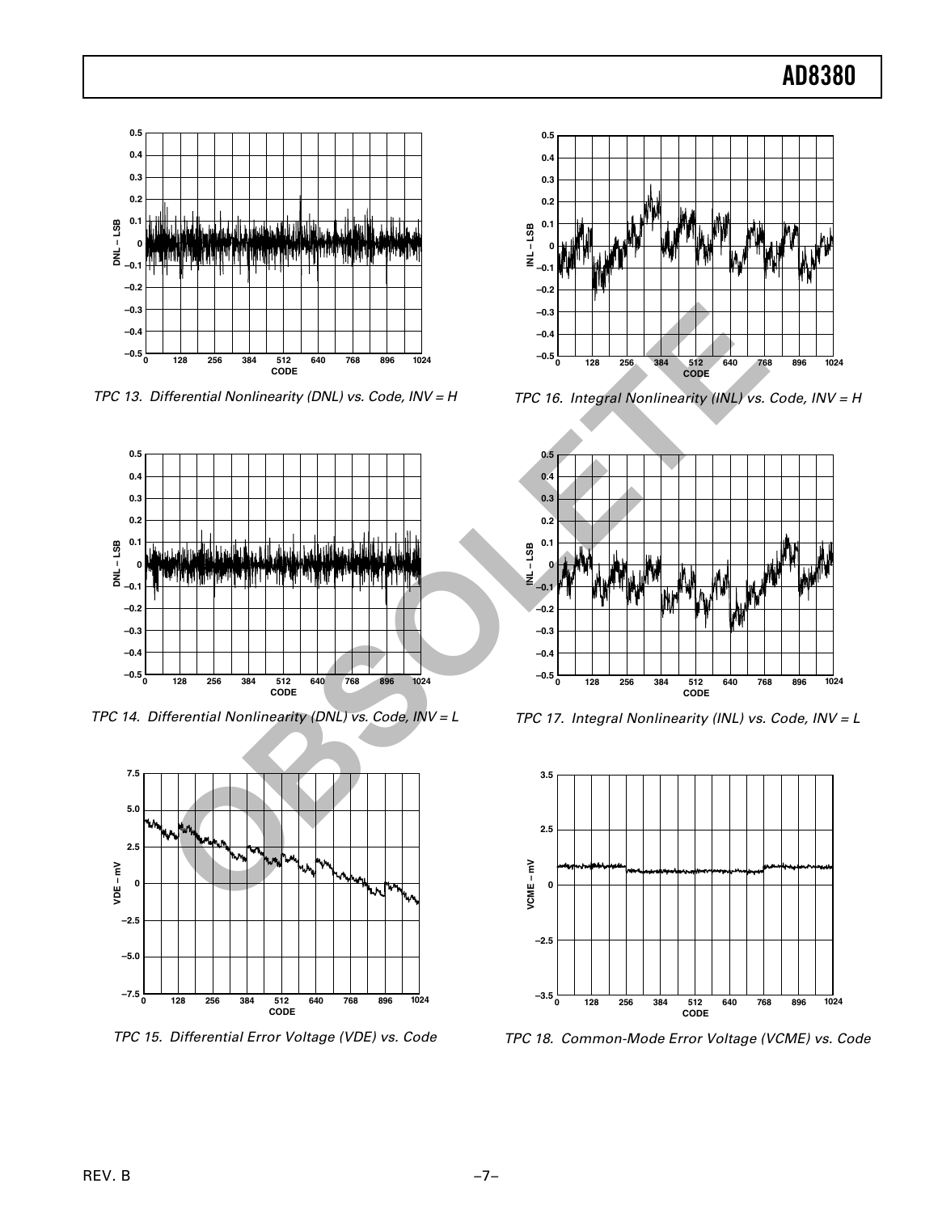

TPC 13. Differential Nonlinearity (DNL) vs. Code, INV = H



TPC 14. Differential Nonlinearity (DNL) vs. Code, INV = L



TPC 15. Differential Error Voltage (VDE) vs. Code



TPC 16. Integral Nonlinearity (INL) vs. Code, INV = H



TPC 17. Integral Nonlinearity (INL) vs. Code,  $INV = L$ 



TPC 18. Common-Mode Error Voltage (VCME) vs. Code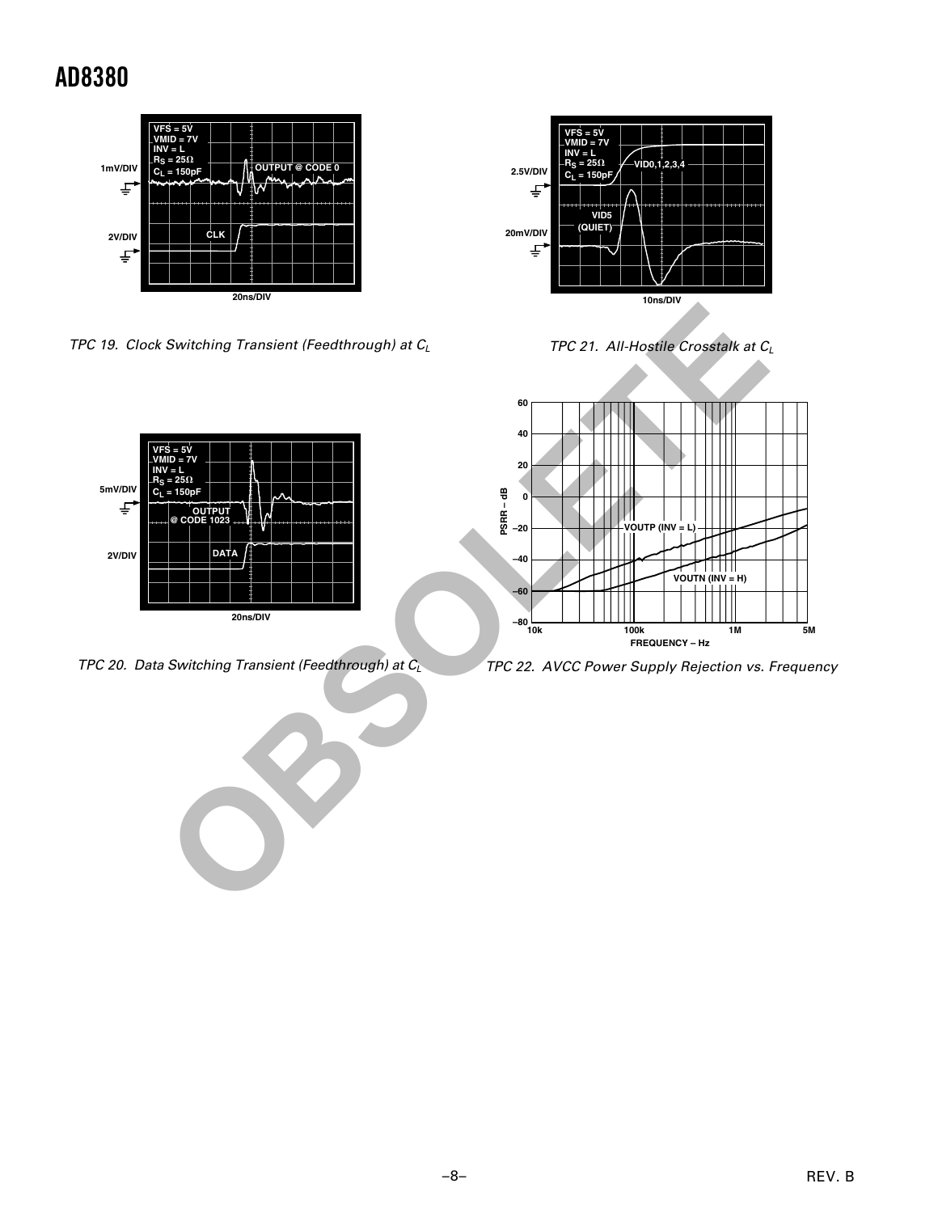

TPC 19. Clock Switching Transient (Feedthrough) at  $C_L$ 



TPC 20. Data Switching Transient (Feedthrough) at  $C_L$ 



TPC 21. All-Hostile Crosstalk at  $C_L$ 



TPC 22. AVCC Power Supply Rejection vs. Frequency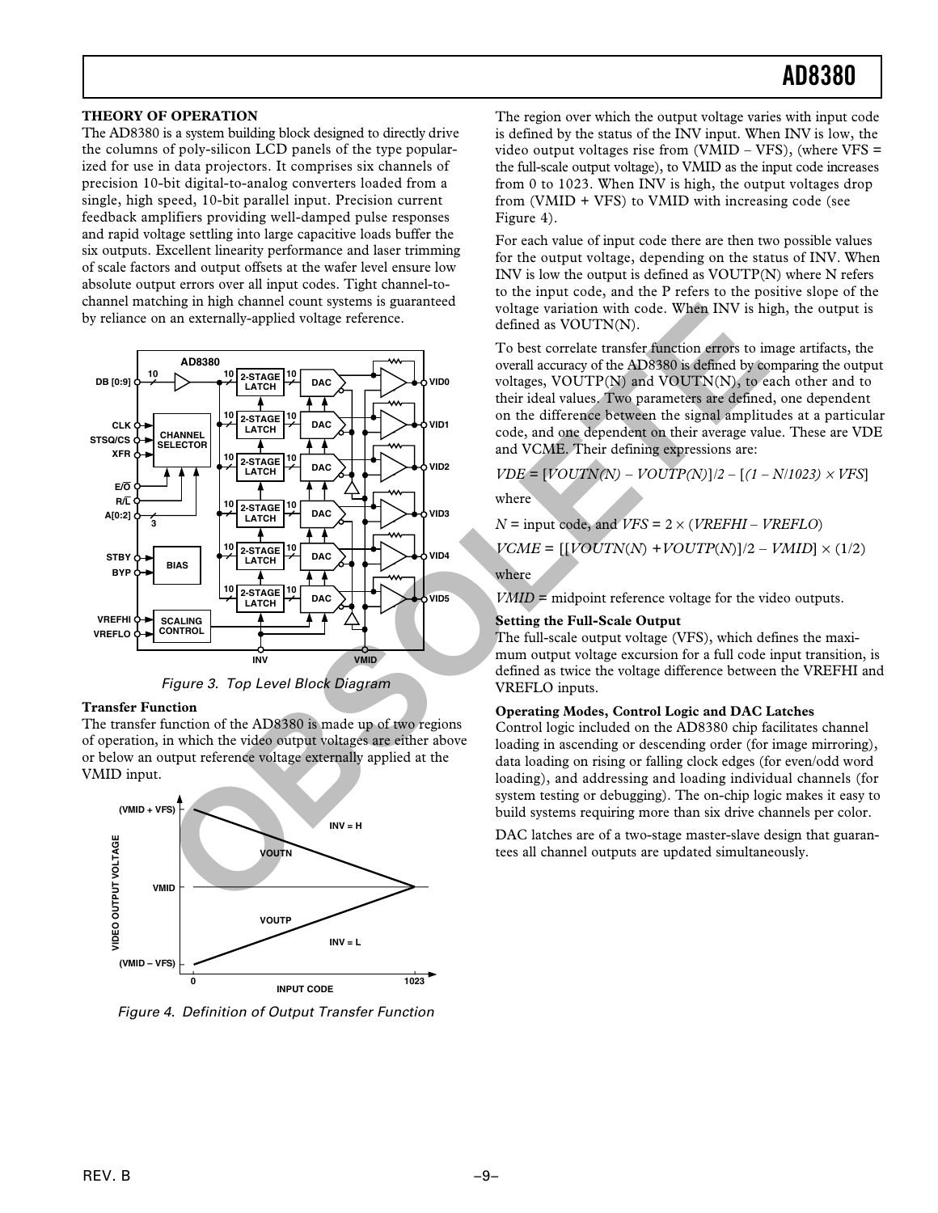#### **THEORY OF OPERATION**

The AD8380 is a system building block designed to directly drive the columns of poly-silicon LCD panels of the type popularized for use in data projectors. It comprises six channels of precision 10-bit digital-to-analog converters loaded from a single, high speed, 10-bit parallel input. Precision current feedback amplifiers providing well-damped pulse responses and rapid voltage settling into large capacitive loads buffer the six outputs. Excellent linearity performance and laser trimming of scale factors and output offsets at the wafer level ensure low absolute output errors over all input codes. Tight channel-tochannel matching in high channel count systems is guaranteed by reliance on an externally-applied voltage reference.



Figure 3. Top Level Block Diagram

#### **Transfer Function**

The transfer function of the AD8380 is made up of two regions of operation, in which the video output voltages are either above or below an output reference voltage externally applied at the VMID input.



Figure 4. Definition of Output Transfer Function

The region over which the output voltage varies with input code is defined by the status of the INV input. When INV is low, the video output voltages rise from  $(VMID - VFS)$ , (where  $VFS =$ the full-scale output voltage), to VMID as the input code increases from 0 to 1023. When INV is high, the output voltages drop from (VMID + VFS) to VMID with increasing code (see Figure 4).

For each value of input code there are then two possible values for the output voltage, depending on the status of INV. When INV is low the output is defined as VOUTP(N) where N refers to the input code, and the P refers to the positive slope of the voltage variation with code. When INV is high, the output is defined as VOUTN(N).

To best correlate transfer function errors to image artifacts, the overall accuracy of the AD8380 is defined by comparing the output voltages, VOUTP(N) and VOUTN(N), to each other and to their ideal values. Two parameters are defined, one dependent on the difference between the signal amplitudes at a particular code, and one dependent on their average value. These are VDE and VCME. Their defining expressions are:

$$
VDE = [VOUTN(N) - VOUTP(N)]/2 - [(1 - N/1023) \times VFS]
$$

where

 $N =$  input code, and *VFS* = 2 × (*VREFHI* – *VREFLO*)

 $VCME = [[VOUTN(N) + VOUTP(N)]/2 - VMID] \times (1/2)$ 

where

 $VMD =$  midpoint reference voltage for the video outputs.

#### **Setting the Full-Scale Output**

The full-scale output voltage (VFS), which defines the maximum output voltage excursion for a full code input transition, is defined as twice the voltage difference between the VREFHI and VREFLO inputs.

#### **Operating Modes, Control Logic and DAC Latches**

Control logic included on the AD8380 chip facilitates channel loading in ascending or descending order (for image mirroring), data loading on rising or falling clock edges (for even/odd word loading), and addressing and loading individual channels (for system testing or debugging). The on-chip logic makes it easy to build systems requiring more than six drive channels per color.

DAC latches are of a two-stage master-slave design that guarantees all channel outputs are updated simultaneously.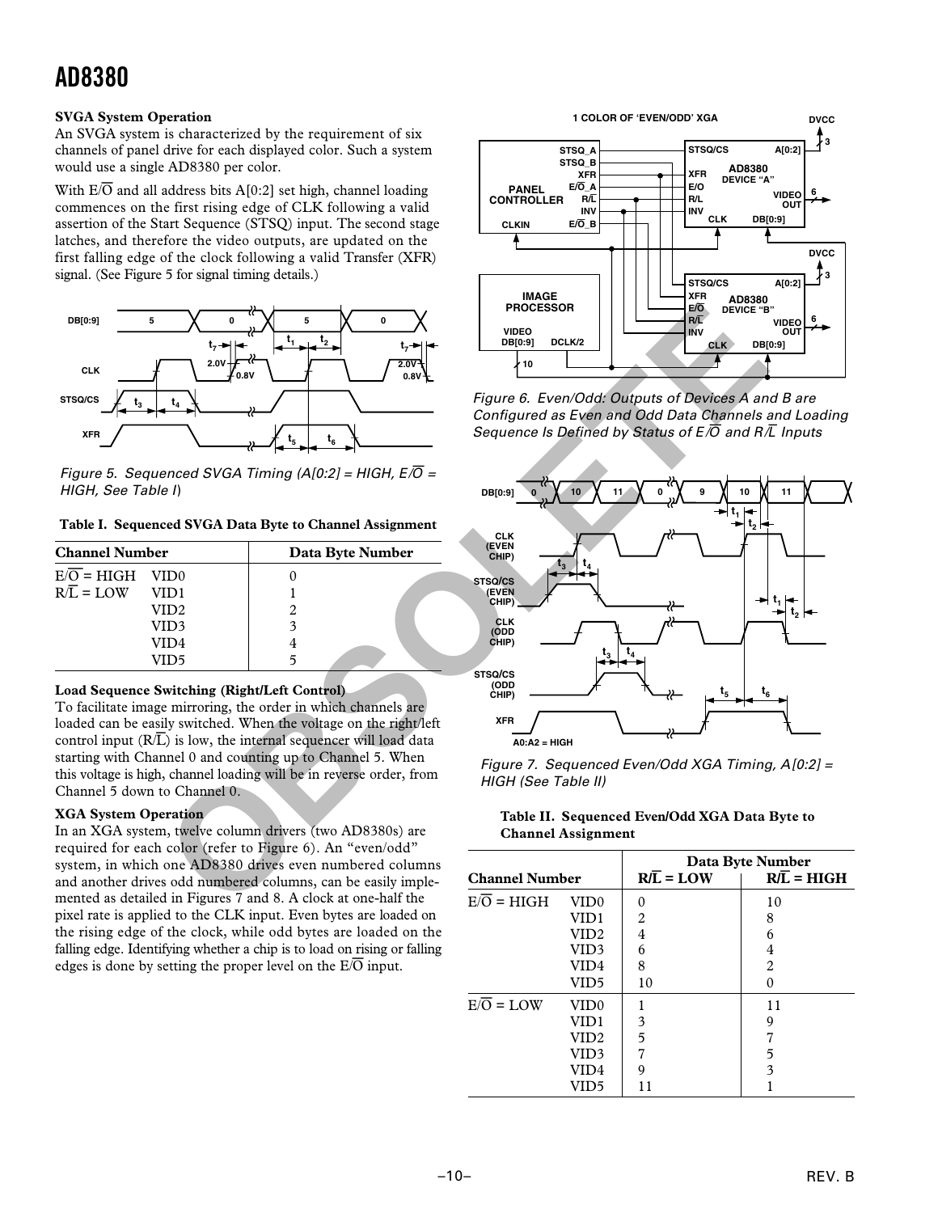#### **SVGA System Operation**

An SVGA system is characterized by the requirement of six channels of panel drive for each displayed color. Such a system would use a single AD8380 per color.

With  $E/\overline{O}$  and all address bits A[0:2] set high, channel loading commences on the first rising edge of CLK following a valid assertion of the Start Sequence (STSQ) input. The second stage latches, and therefore the video outputs, are updated on the first falling edge of the clock following a valid Transfer (XFR) signal. (See Figure 5 for signal timing details.)



Figure 5. Sequenced SVGA Timing (A[0:2] = HIGH,  $E/\overline{O}$  = HIGH, See Table I)

**Table I. Sequenced SVGA Data Byte to Channel Assignment**

| <b>Channel Number</b>        |      | Data Byte Number |
|------------------------------|------|------------------|
| $E/\overline{O}$ = HIGH VID0 |      |                  |
| $R/\overline{L}$ = LOW       | VID1 |                  |
|                              | VID2 |                  |
|                              | VID3 |                  |
|                              | VID4 |                  |
|                              | VID5 |                  |
|                              |      |                  |

#### **Load Sequence Switching (Right/Left Control)**

To facilitate image mirroring, the order in which channels are loaded can be easily switched. When the voltage on the right/left control input (R/*L*) is low, the internal sequencer will load data starting with Channel 0 and counting up to Channel 5. When this voltage is high, channel loading will be in reverse order, from Channel 5 down to Channel 0.

#### **XGA System Operation**

In an XGA system, twelve column drivers (two AD8380s) are required for each color (refer to Figure 6). An "even/odd" system, in which one AD8380 drives even numbered columns and another drives odd numbered columns, can be easily implemented as detailed in Figures 7 and 8. A clock at one-half the pixel rate is applied to the CLK input. Even bytes are loaded on the rising edge of the clock, while odd bytes are loaded on the falling edge. Identifying whether a chip is to load on rising or falling edges is done by setting the proper level on the E/*O* input.



Figure 6. Even/Odd: Outputs of Devices A and B are Configured as Even and Odd Data Channels and Loading Sequence Is Defined by Status of E/O and R/L Inputs



Figure 7. Sequenced Even/Odd XGA Timing, A[0:2] = HIGH (See Table II)

|                         |                  | Data Byte Number       |                         |
|-------------------------|------------------|------------------------|-------------------------|
| <b>Channel Number</b>   |                  | $R/\overline{L} = LOW$ | $R/\overline{L}$ = HIGH |
| $E/\overline{O}$ = HIGH | VID <sub>0</sub> | 0                      | 10                      |
|                         | VID1             | 2                      | 8                       |
|                         | VID2             | 4                      | 6                       |
|                         | VID3             | 6                      | 4                       |
|                         | VID4             | 8                      | $\overline{c}$          |
|                         | VID5             | 10                     | 0                       |
| $E/\overline{O} = LOW$  | VID0             |                        | 11                      |
|                         | VID1             | 3                      | 9                       |
|                         | VID <sub>2</sub> | 5                      |                         |
|                         | VID3             | 7                      | 5                       |
|                         | VID4             | 9                      | 3                       |
|                         | VID5             | 11                     |                         |

**Table II. Sequenced Even/Odd XGA Data Byte to Channel Assignment**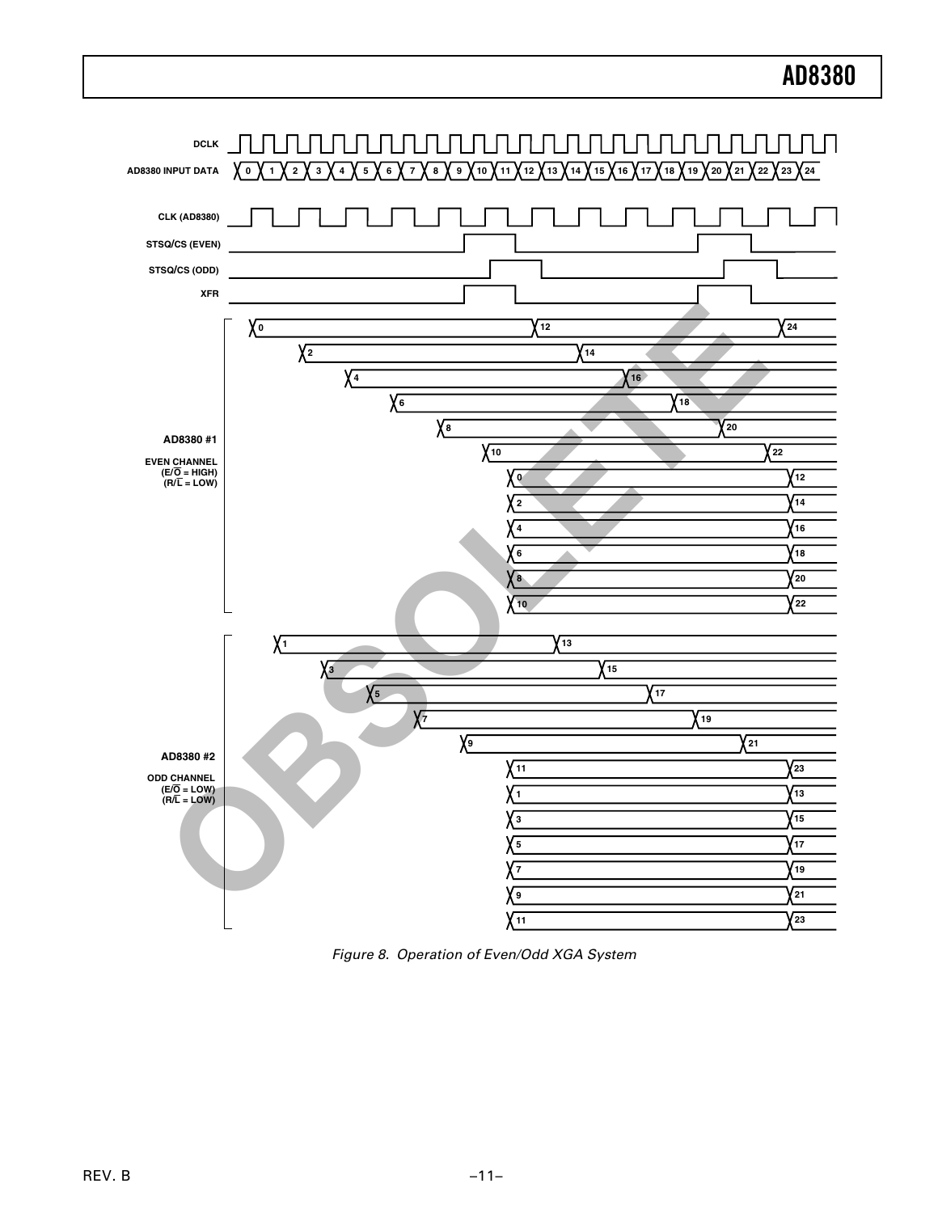

Figure 8. Operation of Even/Odd XGA System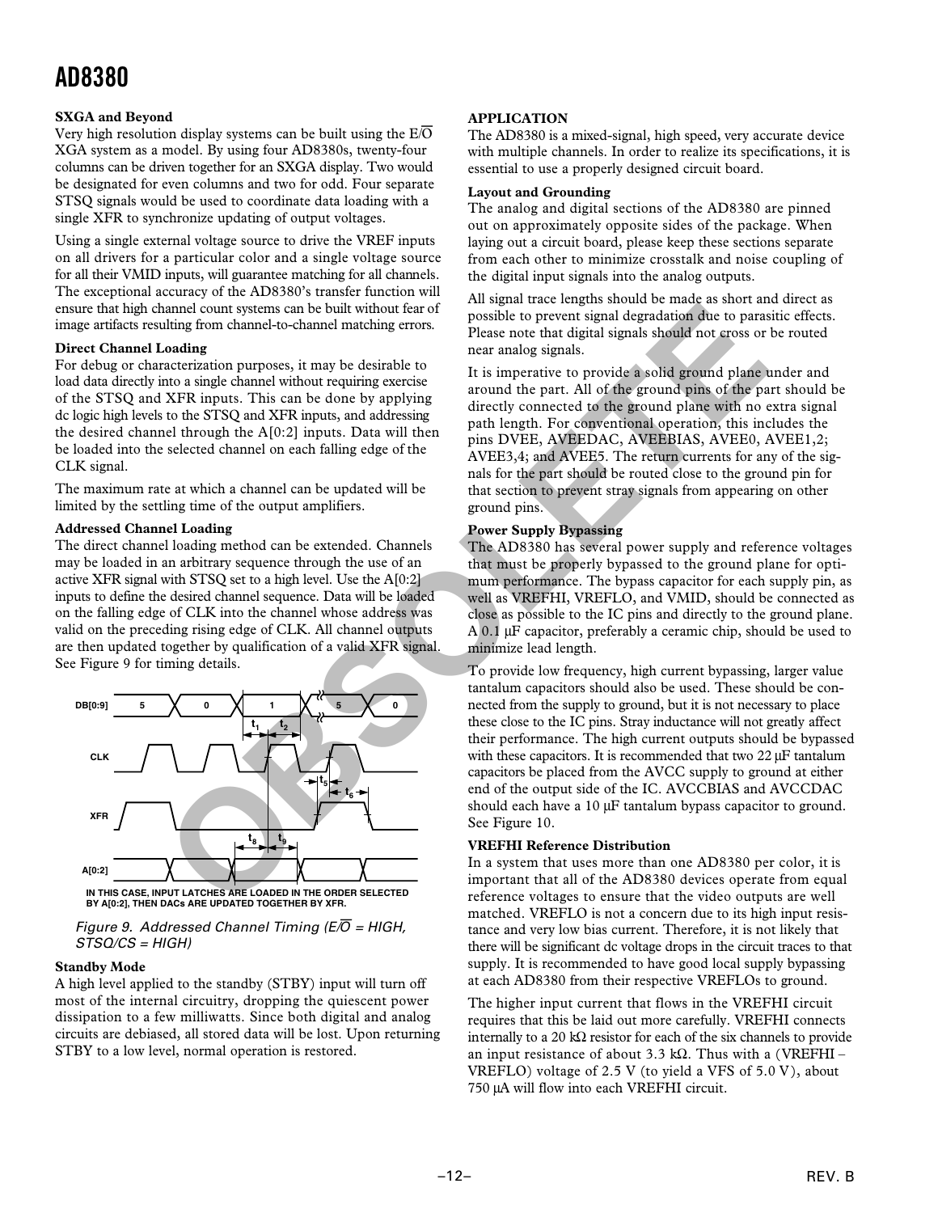#### **SXGA and Beyond**

Very high resolution display systems can be built using the E/*O* XGA system as a model. By using four AD8380s, twenty-four columns can be driven together for an SXGA display. Two would be designated for even columns and two for odd. Four separate STSQ signals would be used to coordinate data loading with a single XFR to synchronize updating of output voltages.

Using a single external voltage source to drive the VREF inputs on all drivers for a particular color and a single voltage source for all their VMID inputs, will guarantee matching for all channels. The exceptional accuracy of the AD8380's transfer function will ensure that high channel count systems can be built without fear of image artifacts resulting from channel-to-channel matching errors.

#### **Direct Channel Loading**

For debug or characterization purposes, it may be desirable to load data directly into a single channel without requiring exercise of the STSQ and XFR inputs. This can be done by applying dc logic high levels to the STSQ and XFR inputs, and addressing the desired channel through the A[0:2] inputs. Data will then be loaded into the selected channel on each falling edge of the CLK signal.

The maximum rate at which a channel can be updated will be limited by the settling time of the output amplifiers.

#### **Addressed Channel Loading**

The direct channel loading method can be extended. Channels may be loaded in an arbitrary sequence through the use of an active XFR signal with STSQ set to a high level. Use the A[0:2] inputs to define the desired channel sequence. Data will be loaded on the falling edge of CLK into the channel whose address was valid on the preceding rising edge of CLK. All channel outputs are then updated together by qualification of a valid XFR signal. See Figure 9 for timing details.



#### Figure 9. Addressed Channel Timing ( $E/\overline{O}$  = HIGH, STSQ/CS = HIGH)

#### **Standby Mode**

A high level applied to the standby (STBY) input will turn off most of the internal circuitry, dropping the quiescent power dissipation to a few milliwatts. Since both digital and analog circuits are debiased, all stored data will be lost. Upon returning STBY to a low level, normal operation is restored.

#### **APPLICATION**

The AD8380 is a mixed-signal, high speed, very accurate device with multiple channels. In order to realize its specifications, it is essential to use a properly designed circuit board.

#### **Layout and Grounding**

The analog and digital sections of the AD8380 are pinned out on approximately opposite sides of the package. When laying out a circuit board, please keep these sections separate from each other to minimize crosstalk and noise coupling of the digital input signals into the analog outputs.

All signal trace lengths should be made as short and direct as possible to prevent signal degradation due to parasitic effects. Please note that digital signals should not cross or be routed near analog signals.

It is imperative to provide a solid ground plane under and around the part. All of the ground pins of the part should be directly connected to the ground plane with no extra signal path length. For conventional operation, this includes the pins DVEE, AVEEDAC, AVEEBIAS, AVEE0, AVEE1,2; AVEE3,4; and AVEE5. The return currents for any of the signals for the part should be routed close to the ground pin for that section to prevent stray signals from appearing on other ground pins.

#### **Power Supply Bypassing**

The AD8380 has several power supply and reference voltages that must be properly bypassed to the ground plane for optimum performance. The bypass capacitor for each supply pin, as well as VREFHI, VREFLO, and VMID, should be connected as close as possible to the IC pins and directly to the ground plane.  $A$  0.1  $\mu$ F capacitor, preferably a ceramic chip, should be used to minimize lead length.

To provide low frequency, high current bypassing, larger value tantalum capacitors should also be used. These should be connected from the supply to ground, but it is not necessary to place these close to the IC pins. Stray inductance will not greatly affect their performance. The high current outputs should be bypassed with these capacitors. It is recommended that two 22  $\mu$ F tantalum capacitors be placed from the AVCC supply to ground at either end of the output side of the IC. AVCCBIAS and AVCCDAC should each have a 10 µF tantalum bypass capacitor to ground. See Figure 10.

#### **VREFHI Reference Distribution**

In a system that uses more than one AD8380 per color, it is important that all of the AD8380 devices operate from equal reference voltages to ensure that the video outputs are well matched. VREFLO is not a concern due to its high input resistance and very low bias current. Therefore, it is not likely that there will be significant dc voltage drops in the circuit traces to that supply. It is recommended to have good local supply bypassing at each AD8380 from their respective VREFLOs to ground.

The higher input current that flows in the VREFHI circuit requires that this be laid out more carefully. VREFHI connects internally to a 20 kΩ resistor for each of the six channels to provide an input resistance of about 3.3 kΩ. Thus with a (VREFHI – VREFLO) voltage of 2.5 V (to yield a VFS of  $5.0$  V), about 750 µA will flow into each VREFHI circuit.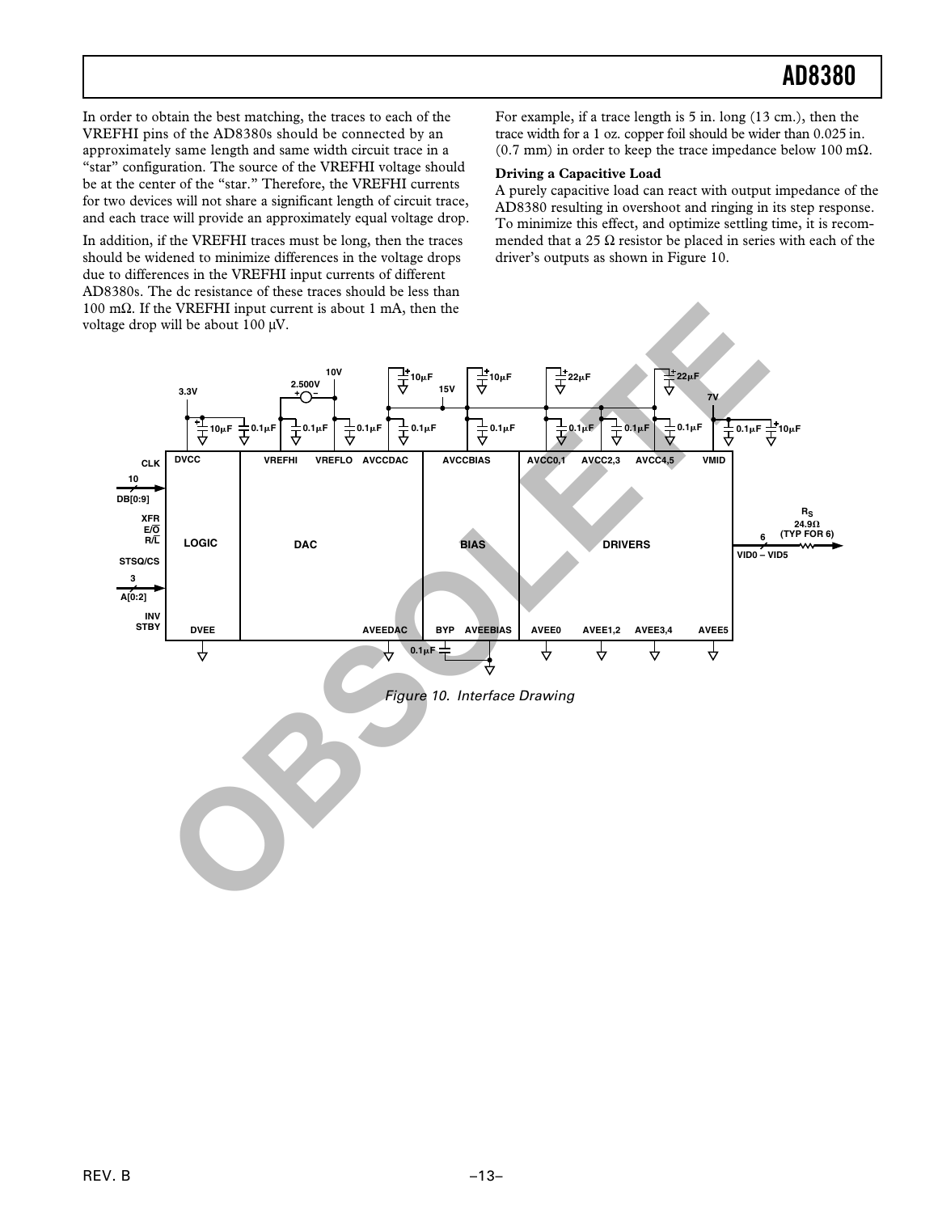In order to obtain the best matching, the traces to each of the VREFHI pins of the AD8380s should be connected by an approximately same length and same width circuit trace in a "star" configuration. The source of the VREFHI voltage should be at the center of the "star." Therefore, the VREFHI currents for two devices will not share a significant length of circuit trace, and each trace will provide an approximately equal voltage drop.

In addition, if the VREFHI traces must be long, then the traces should be widened to minimize differences in the voltage drops due to differences in the VREFHI input currents of different AD8380s. The dc resistance of these traces should be less than 100 mΩ. If the VREFHI input current is about 1 mA, then the voltage drop will be about 100 µV.

For example, if a trace length is 5 in. long (13 cm.), then the trace width for a 1 oz. copper foil should be wider than 0.025 in. (0.7 mm) in order to keep the trace impedance below 100 mΩ.

#### **Driving a Capacitive Load**

A purely capacitive load can react with output impedance of the AD8380 resulting in overshoot and ringing in its step response. To minimize this effect, and optimize settling time, it is recommended that a 25  $\Omega$  resistor be placed in series with each of the driver's outputs as shown in Figure 10.

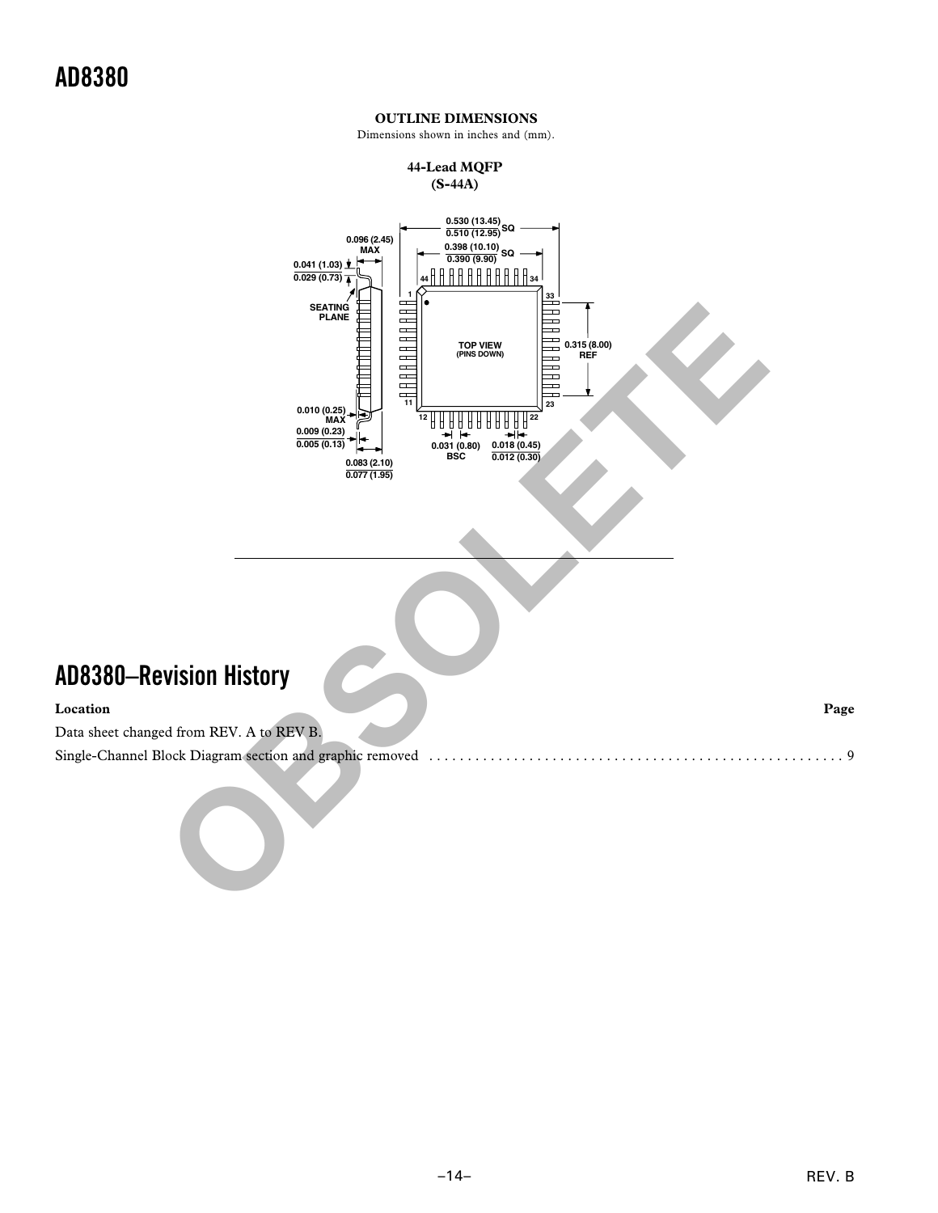#### **OUTLINE DIMENSIONS**

Dimensions shown in inches and (mm).





### **AD8380–Revision History**

**Location Page** Data sheet changed from REV. A to REV B. Single-Channel Block Diagram section and graphic removed . . . . . . . . . . . . . . . . . . . . . . . . . . . . . . . . . . . . . . . . . . . . . . . . . . . . . . 9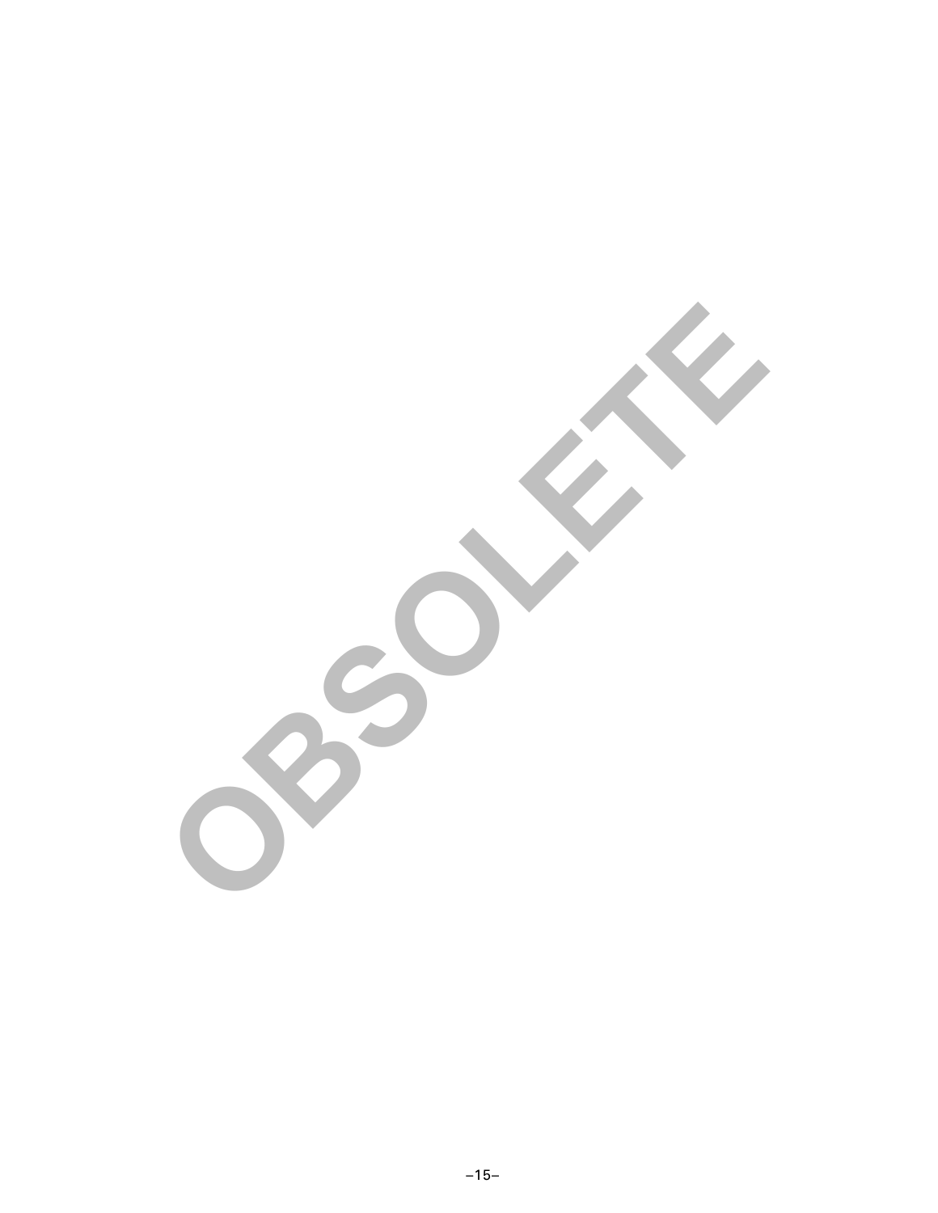**OBSOLETE**